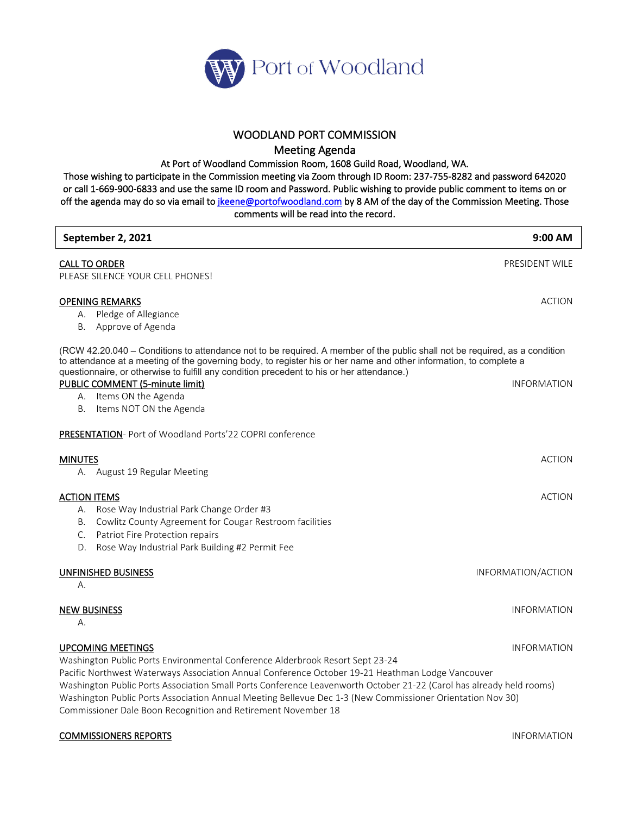

## WOODLAND PORT COMMISSION

Meeting Agenda

At Port of Woodland Commission Room, 1608 Guild Road, Woodland, WA.

Those wishing to participate in the Commission meeting via Zoom through ID Room: 237-755-8282 and password 642020 or call 1-669-900-6833 and use the same ID room and Password. Public wishing to provide public comment to items on or off the agenda may do so via email to *jkeene@portofwoodland.com* by 8 AM of the day of the Commission Meeting. Those comments will be read into the record.

| September 2, 2021                                                                                                                                                                                                                                                                                                                                                                                                                                                                                                  | $9:00$ AM          |
|--------------------------------------------------------------------------------------------------------------------------------------------------------------------------------------------------------------------------------------------------------------------------------------------------------------------------------------------------------------------------------------------------------------------------------------------------------------------------------------------------------------------|--------------------|
| <b>CALL TO ORDER</b><br>PLEASE SILENCE YOUR CELL PHONES!                                                                                                                                                                                                                                                                                                                                                                                                                                                           | PRESIDENT WILE     |
| <b>OPENING REMARKS</b><br>A. Pledge of Allegiance<br>Approve of Agenda<br>В.                                                                                                                                                                                                                                                                                                                                                                                                                                       | <b>ACTION</b>      |
| (RCW 42.20.040 – Conditions to attendance not to be required. A member of the public shall not be required, as a condition<br>to attendance at a meeting of the governing body, to register his or her name and other information, to complete a<br>questionnaire, or otherwise to fulfill any condition precedent to his or her attendance.)<br>PUBLIC COMMENT (5-minute limit)<br>A. Items ON the Agenda<br>Items NOT ON the Agenda<br>В.                                                                        | <b>INFORMATION</b> |
| PRESENTATION- Port of Woodland Ports'22 COPRI conference                                                                                                                                                                                                                                                                                                                                                                                                                                                           |                    |
| <b>MINUTES</b><br>A. August 19 Regular Meeting                                                                                                                                                                                                                                                                                                                                                                                                                                                                     | <b>ACTION</b>      |
| <b>ACTION ITEMS</b><br>A. Rose Way Industrial Park Change Order #3<br>B. Cowlitz County Agreement for Cougar Restroom facilities<br>C. Patriot Fire Protection repairs<br>Rose Way Industrial Park Building #2 Permit Fee<br>D.                                                                                                                                                                                                                                                                                    | <b>ACTION</b>      |
| UNFINISHED BUSINESS<br>А.                                                                                                                                                                                                                                                                                                                                                                                                                                                                                          | INFORMATION/ACTION |
| <b>NEW BUSINESS</b><br>А.                                                                                                                                                                                                                                                                                                                                                                                                                                                                                          | <b>INFORMATION</b> |
| <b>UPCOMING MEETINGS</b><br>Washington Public Ports Environmental Conference Alderbrook Resort Sept 23-24<br>Pacific Northwest Waterways Association Annual Conference October 19-21 Heathman Lodge Vancouver<br>Washington Public Ports Association Small Ports Conference Leavenworth October 21-22 (Carol has already held rooms)<br>Washington Public Ports Association Annual Meeting Bellevue Dec 1-3 (New Commissioner Orientation Nov 30)<br>Commissioner Dale Boon Recognition and Retirement November 18 | <b>INFORMATION</b> |

## **COMMISSIONERS REPORTS INFORMATION**